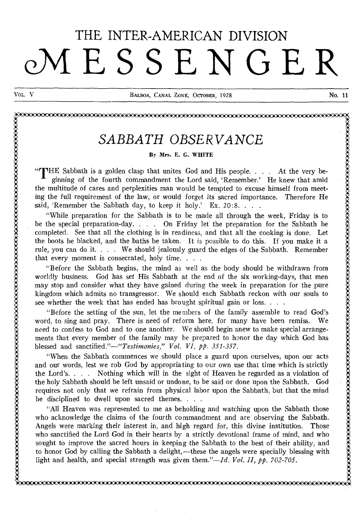# THE INTER-AMERICAN DIVISION **AIESSENGER**

# Vol.. V BALBOA, CANAL ZONE, OCTOBER, 1928 No. 11 ....................................................... ................................. . :. , . .. X X A A A A A *SABBATH OBSERVANCE . . .*  . By Mrs. E. G. WHITE A: . . .

By Mrs. E. G. WHITE<br>
"THE Sabbath is a golden clasp that unites God and His people. . . . At the very be-<br>
ginning of the fourth commandment the Lord said, 'Remember.' He knew that amid the multitude of cares and perplexities man would be tempted to excuse himself from meeting man would be tempted to excuse himself from the full requirement of the law, or would forget its sacred importance. Therefore He **1** ginning of the fourth commandment the Lord said, 'Remember.' He knew that amid<br>the multitude of cares and perplexities man would be tempted to excuse himself from meet-<br>ing the full requirement of the law, or would fo

be the special preparation-day. . . . On Friday let the preparation for the Sabbath be completed. See that all the clothing is in readiness, and that all the cooking is done. Let the boots be blacked, and the baths be taken. It is possible to do this. If you make it a  $\ddot{\ddot{\xi}}$ rule, you can do it. . . . We should jealously guard the edges of the Sabbath. Remember that every moment is consecrated, holy time. . . . the boots be blacked, and the baths be taken. It is possible to do this. If you make it a<br>rule, you can do it.... We should jealously guard the edges of the Sabbath. Remember<br>that every moment is consecrated, holy time...

worldly business. God has set His Sabbath at the end of the six working-days, that men may stop and consider what they have gained during the week in preparation for the pure worldly business. God has set His Sabbath at the end of the six working-days, that men<br>may stop and consider what they have gained during the week in preparation for the pure<br>kingdom which admits no transgressor. We should that every moment is consecrated, holy time.<br>
"Before the Sabbath begins, the mind as well as worldly business. God has set His Sabbath at the energy may stop and consider what they have gained during the kingdom which ad

"Before the setting of the sun, let the members of the family assemble to read God's 'word, to sing and pray. There is need of reform here, for many have been remiss. We whence the setting of the sun, let the members of the family assemble to read God's<br>word, to sing and pray. There is need of reform here, for many have been remiss. We<br>need to confess to God and to one another. We should b ments that every member of the family may be prepared to honor the day which God has blessed and *sanctified."—"Testimonies," Vol. VI, pp. 351-357.*  The med to confess to God and to one another. We should begin anew to make special arrangements that every member of the family may be prepared to honor the day which God has blessed and sanctified."—"*Testimonies*," *Vol.* 

blessed and sanctified."—"Testimonies," Vol. VI, pp. 351-357.<br>
"When the Sabbath commences we should place a guard upon ourselves, upon our acts<br>
and our words, lest we rob God by appropriating to our own use that time wh and our words, lest we rob God by appropriating to our own use that time which is strictly<br>the Lord's.... Nothing which will in the sight of Heaven be regarded as a violation of<br>the holy Sabbath should be left unsaid or un requires not only that we refrain from physical labor upon the Sabbath, but that the mind be disciplined to dwell upon sacred themes. . . .

requires not only that we refrain from physical labor upon the Sabbath, but that the mind<br>be disciplined to dwell upon sacred themes....<br>"All Heaven was represented to me as beholding and watching upon the Sabbath those<br>wh . . Angels were marking their interest in, and high regard for, this divine institution. Those . who sanctified the Lord God in their hearts by a strictly devotional frame of mind, and who Angels were marking their interest in, and high regard for, this divine institution. Those who sanctified the Lord God in their hearts by a strictly devotional frame of mind, and who sought to improve the sacred hours in k to honor God by calling the Sabbath a delight,—these the angels were specially blessing with light and health, and special strength was given them."— $Id$ .  $Vol. II$ ,  $p\dot{p}$ .  $702-705$ . sought to improve the sacred hours in keeping the Sabbath to the best of their ability, and<br>to honor God by calling the Sabbath a delight,—these the angels were specially blessing with<br>light and health, and special streng  $\ddot{\ddot{\xi}}$  . light and health, and special strength was given them."—*Id. Vol. II, pp. 702-705.*<br> $\ddot{\xi}$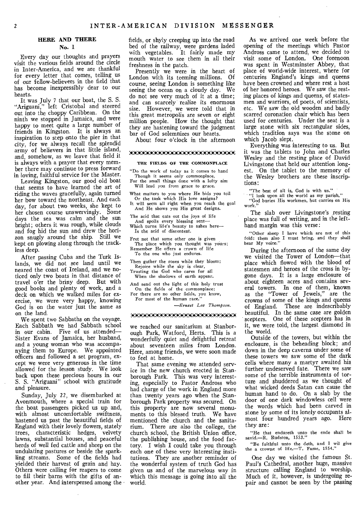#### **HERE AND THERE**

**No. 1** 

Every day our thoughts and prayers visit the various fields around the circle in Inter-America, and we are thankful for every letter that comes, telling us of our fellow-believers in the field that has become inexpressibly dear to our hearts.

It was July 7 that our boat, the S. S. "Ariguani," left Cristobal and steered out into the choppy Caribbean. On the ninth we stopped in Jamaica, and were happy to meet quite a large number of friends in Kingston. It is always an inspiration to step onto the pier in that city, for we always recall the splendid army of believers in that little island, and, somehow, as we leave that field it is always with a prayer that every member there may continue to press forward in loving, faithful service for the Master.

Leaving Kingston, our good old boat that seems to have learned the art of riding the waves gracefully, again turned her bow toward the northeast. And each day, for about two weeks, she kept to her chosen course unswervingly. Some days the sea was calm and the sun bright; others it was rough, while clouds and fog hid the sun and drew the horizon snugly around the ship. Still we kept on plowing along through the trackless deep.

After passing Cuba and the Turk Islands, we did not see land until we neared the coast of Ireland, and we noticed only two boats in that distance of travel o'er the briny deep. But with good books and plenty of work, and a deck on which we walked miles for exercise, we were very happy, knowing God is on the water just the same as on the land.

We spent two Sabbaths on the voyage. Each Sabbath we had Sabbath school in our cabin. Five of us attended— Sister Evans of Jamaica, her husband, and a young woman who was accompanying them to Europe. We appointed officers and followed a set program, except we were very generous in the time allowed for the lesson study. We look back upon these precious hours in our S. S. "Ariguani" school with gratitude and pleasure.

Sunday, July 22, we disembarked at Avonmouth, where a special train for the boat passengers picked us up and, with almost uncomfortable swiftness, hastened us past the beautiful fields of England with their lovely flowers, stately trees, characteristic hedges, velvety lawns, substantial houses, and peaceful herds of well fed cattle and sheep on the undulating pastures or beside the sparkling streams. Some of the fields had yielded their harvest of grain and hay. Others were calling for reapers to come to fill their barns with the gifts of another year. And interspersed among the fields, or shyly creeping up into the road bed of the railway, were gardens laded with vegetables. It fairly made my mouth water to see them in all their freshness in the patch.

Presently we were in the heart of London with its teeming millions. Of course, seeing London is something like seeing the ocean on a cloudy day. We do not see very much of it at a time; and can scarcely realize its enormous size. However, we were told that in this great metropolis are seven or eight million people. How the thought that they are hastening toward the judgment bar of God solemnizes our hearts.

About four o'clock in the afternoon

#### :400:201i2CAXAX:CV.:CCAXAKCCA'AiX4EiCAX

#### THE FIELDS OF THE COMMONPLACE

"Do the work of today as it comes to hand Though it seems only commonplace,

For the small things done with a lofty aim Will lead you from grace to grace.

What matters to you where He bids you toil Or the task which His love assigns?

It will seem all right when you reach the goal And He shows you His great designs.

The acid that eats out the joys of life And spoils every blessing sent— Which turns life's beauty to ashes here—

Is the acid of discontent.

Fret not that some other one is given The place which you thought was yours; Remember He offers a crown of life

To the one who just endures.

Then gather the roses while they bloom; Rejoice while the sky is clear, Trusting the God who cares for all When the shadows of earth appear.

And send out the light of this holy trust On the fields of the commonplace; For there are no other fields, you know, For most of the human race.'

*—Ernest Lee Thompson.* 

#### 222222iCKA7KKKK22AX:Ce.

we reached our sanitarium at Stanborough Park, Watford, Herts. This is a wonderfully quiet and delightful retreat about seventeen miles from London. Here, among friends, we were soon made to feel at home.

That same evening we attended service in the new church erected in Stanborough Park. This was very interesting, especially to Pastor Andross who had charge of the work in England more than twenty years ago when the Stanborough Park property was secured. On this property are now several monuments to this blessed truth. We have mentioned the church and the sanitarium. There are also the college, the church school, the British Union office, the publishing house, and the food factory. I wish I could take you through each one of these very interesting institutions. They are another reminder of the wonderful system of truth God has given us and of the marvelous way in which this message is going into all the world.

As we arrived one week before the opening of the meetings which Pastor Andross came to attend, we decided to visit some of London. One forenoon was spent in Westminster Abbey, that place of world-wide interest, where for centuries England's kings and queens have been crowned and where rest a host of her honored heroes. We saw the resting places of kings and queens, of statesmen and warriors, of poets, of scientists, etc. We saw the old wooden and badly scarred coronation chair which has been used for centuries. Under the seat is a large stone with six rectangular sides, which tradition says was the stone on which Jacob slept.

Everything was interesting to us. But it was the tablets to John and Charles Wesley and the resting place of David Livingstone that held our attention longest, On the tablet to the memory of the Wesley brothers are these inscriptions:

"The best of all is, God is with us." "I look upon all the world as my parish."

"God buries His workmen, but carries on His work."

The slab over Livingstone's resting place was full of writing, and in the lefthand margin was this verse:

"Other sheep I have which are not of this fold: them also I must bring, and they shall hear My voice.

During the afternoon of the same day we visited the Tower of London—that place which flowed with the blood of statesmen and heroes of the cross in bygone days. It is a large enclosure of about eighteen acres and contains several towers. In one of them, known as the "Tower of Jewels," are the crowns of some of the kings and queens of England. These are indescribably beautiful. In the same case are golden scepters. One of these scepters has in it, we were told, the largest diamond in the world.

Outside of the towers, but within the enclosure, is the beheading block; and down in the deep caverns under some of these towers we saw some of the dark cells where many a martyr awaited his further undeserved fate. There we saw some of the terrible instruments of torture and shuddered as we thought of what wicked deeds Satan can cause the human hand to do. On a slab by the door of one dark windowless cell were the words which had been carved in stone by some of its lonely occupants almost four hundred years ago. Here they are:

"He that endureth unto the ende shall be savid.—R. Rudston, 1553."

"Be faithful unto the deth, and I wil give the a crown of life.—T. Fame, 1554."

One day we visited the famous St. Paul's Cathedral, another huge, massive structure calling England to worship. Much of it, however, is undergoing repair and cannot be seen by the passing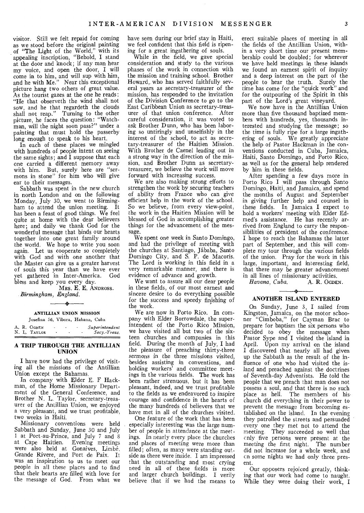visitor. Still we felt repaid for coming as we stood before the original painting of "The Light of the World," with its appealing inscription, "Behold, I stand at the door and knock; if any man hear my voice, and open the door, I will come in to him, and will sup with him, and he with Me." Near this exceptional picture hang two others of great value. As the tourist gazes at the one he reads: "He that observeth the wind shall not sow, and he that regardeth the clouds shall not reap." Turning to the other picture, he faces the question: "Watchman, will the night soon pass?" under a painting that must hold the passerby long enough to speak to his heart.

In each of these places we mingled with hundreds of people intent on seeing the same sights; and I suppose that each one carried a different memory away with him. But, surely here are "sermons in stone" for him who will give ear to their messages.

Sabbath was spent in the new church in north London and on the following Monday, July 30, we went to Birmingham to attend the union meeting. It has been a feast of good things. We feel quite at home with the dear believers here; and daily we thank God for the wonderful message that binds our hearts together into one great family around the world. We hope to write you soon again. Let us cooperate so completely with God and with one another that the Master can give us a greater harvest of souls this year than we have ever yet gathered in Inter-America. God bless and keep you every day.

MRS. E. E. ANDROSS. *Birmingham, England.* 

### $\overline{\phantom{a}}$ ANTILLIAN UNION MISSION

Josefina 56, Vibora, Habana, Cuba

|  | A. R. OGDEN  |   | Superintenden: |
|--|--------------|---|----------------|
|  | N. L. TAYLOR | ۰ | Secy. Treas.   |

#### A TRIP THROUGH THE ANTILLIAN UNION

I have now had the privilege of visiting all the missions of the Antillian Union except the Bahamas.

In company with Elder E. F Hackman, of the Home Missionary Department of the General Conference, and Brother N. L. Taylor, secretary-treasurer of the Antillian Union, we enjoyed a very pleasant, and we trust profitable, two weeks in Haiti.

Missionary conventions were held Sabbath and Sunday, June 30 and July 1 at Port-au-Prince, and July 7 and 8 at Cape Haitien. Evening meetings were also held at Gonaives, Limbé, Grande Rivere, and Port de Paix. It was an inspiration to us to meet our people in all these places and to find that their hearts are filled with love for the message of God. From what we

have seen during our brief stay in Haiti, we feel confident that this field is ripening for a great ingathering of souls.

While in the field, we gave special consideration and study to the various phases of the work in connection with the mission and training school. Brother Howard, who has served faithfully several years as secretary-treasurer of the mission, has responded to the invitation of the Division Conference to go to the East Caribbean Union as secretary-treasurer of that union conference. After careful consideration, it was voted to ask Brother Dunn, who has been laboring so untiringly and unselfishly in the interest of the school, to act as secretary-treasurer of the Haitien Mission. With Brother de Caenel leading out in a strong way in the direction of the mission, and Brother Dunn as secretarytreasurer, we believe the work will move forward with increasing success.

We are also making strong efforts to strengthen the work by securing teachers of ability from France who can give efficient help in the work of the school. So we believe, from every view-point, the work in the Haitien Mission will be blessed of God in accomplishing greater things for the advancement of the message.

We spent one week in Santo Domingo, and had the privilege of meeting with the churches at Santiago, jababa, Santo Domingo City, and S. P. de Macoris. The Lord is working in this field in a very remarkable manner, and there is evidence of advance and growth.

We want to assure all our dear people in these fields, of our most earnest and sincere desire to do everything possible for the success and speedy finishing of the work.

We are now in Porto Rico. In company with Elder Borrowdale, the superintendent of the Porto Rico Mission, we have visited all but two of the sixteen churches and companies in this field. During the month of July, I had the pleasure of preaching thirty-three sermons in the three missions visited, besides assisting in conventions, and holding workers' and committee meetings in the various fields. The work has been rather strenuous, but it has been pleasant, indeed, and we trust profitable to the fields as we endeavored to inspire courage and confidence in the hearts of the many hundreds of believers that we have met in all of the churches visited.

One feature of the work that has been especially interesting was the large number of people in attendance at the meetings. In nearly every place the churches and places of meeting were more than filled; often, as many were standing outside as there were inside. I am impressed that the outstanding and most crying need in all of these fields is more and larger church buildings. I verily believe that if we had the means to erect suitable places of meeting in all the fields of the Antillian Union, within a very short time our present membership could be doubled; for wherever we have held meetings in these islands we found an earnest spirit of inquiry and a deep interest on the part of the people to hear the truth. Surely the time has come for the "quick work" and for the outpouring of the Spirit in this part of the Lord's great vineyard.

We now have in the Antillian Union more than five thousand baptized members with hundreds, yes, thousands interested and studying the message; so the time is fully ripe for a large ingathering of souls. We greatly appreciate the help of Pastor Hackman in the conventions conducted in Cuba, Jamaica, Haiti, Santo Domingo, and Porto Rico, as well as for the general help rendered by him in these fields.

After spending a few days more in Porto Rico I will pass through Santo Domingo, Haiti, and Jamaica, and spend the months of August and September in giving further help and counsel in these fields. In Jamaica I expect to hold a workers' meeting with Elder Edmed's assistance. He has recently arrived from England to carry the responsibilities of president of the conference. I hope to reach the Bahamas the latter part of September, and this will complete my tour through the various fields of the union. Pray for the work in this large, important, and interesting field, that there may be greater advancement in all lines of missionary activities.<br>Havana, Cuba. A. R. OGDEN.

 $Havana, Cuba.$ 

#### $\rightarrow$ ANOTHER ISLAND ENTERED

On Sunday, June 3, I sailed from Kingston, Jamaica, on the motor schooner "Cimboba," for Cayman Brac to prepare for baptism the six persons who decided to obey the message when Pastor Sype and I visited the island in April. Upon my arrival on the island I discovered that nearly all had given up the Sabbath as the result of the influence of one who had visited the island and preached against the doctrines of Seventh-day Adventists. He told the people that we preach that man does not possess a soul, and that there is no such place as hell. The members of hischurch did everything in their power to prevent the message from becoming established on the island. In the evening they patrolled the streets and persuaded every one they met not to attend the meeting. They succeeded so well that cnly five persons were present at the meeting the first night. The number did not increase for a whole week, and cn some nights we had only three present.

Our opposers rejoiced greatly, thinking that our work had come to naught. While they were doing their work, I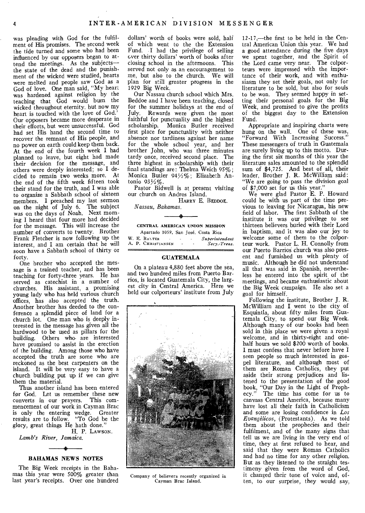was pleading with God for the fulfilment of His promises. The second week the tide turned and some who had been influenced by our opposers began to attend the meetings. As the subjects the state of the dead and the punish, ment of the wicked were studied, hearts were melted and people saw God as a God of love. One man said, "My heart was hardened against religion by the teaching that God would burn the wicked throughout eternity, but now my heart is touched with the love of God.' Our opposers became more desperate in their efforts, but were unsuccessful. God had set His hand the second time to recover the remnant of His people, and no power on earth could keep them back. At the end of the fourth week I had planned to leave, but eight had made their decision for the message, and others were deeply interested; so I decided to remain two weeks more. At the end of the fifth week fifteen took their stand for the truth, and I was able to organize a Sabbath school of sixteen members. I preached my last sermon on the night of July 6. The subject was on the days of Noah. Next morning I heard that four more had decided for the message. This will increase the number of converts to twenty. Brother Frank Fletcher is now following up the interest, and I am certain that he will soon have a Sabbath school of thirty or forty.

One brother who accepted the message is a trained teacher, and has been teaching for forty-three years. He has served as catechist in a number of churches. His assistant, a promising young lady who has held various church offices, has also accepted the truth. Another brother has deeded to the conference a splendid piece of land for a church lot. One man who is deeply interested in the message has given all the hardwood to be used as pillars for the building. Others who- are interested have promised to assist in the erection of the building. Among those who have accepted the truth are some who are reckoned as the best carpenters on the island. It will be very easy to have a church building put up if we can give them the material.

Thus another island has been entered for God. Let us remember these new<br>converts in our pravers. This comconverts in our prayers. This commencement of our work in Cayman Brac is only the entering wedge. Greater results are to follow. "To God be the glory, great things He hath done.'

H. P. LAWSON. *Lamb's River, Jamaica.* 

## $\ddot{\phantom{1}}$ BAHAMAS NEWS NOTES

The Big Week receipts in the Bahamas this year were 500% greater than last year's receipts. Over one hundred dollars' worth of books were sold, half of which went to the the Extension Fund. I had the privilege of selling ever thirty dollars' worth of books after closing school in the afternoons. This served not only as an encouragement to me, but also to the church. We will plan for still greater progress in the 1929 Big Week.

Our Nassau church school which Mrs. Beddoe and I have been teaching, closed for the summer holidays at the end of July. Rewards were given the most faithful for punctuality and the highest scholarship. Monica Butler received first place for punctuality with neither absence nor tardiness against her name for the whole school year, and her brother John, who was three minutes tardy once, received second place. The three highest in scholarship with their final standings are: Thelma Weich 95%; Monica Butler 94%2%; Elizabeth Antonio  $93\frac{1}{2}\%$ .

Pastor Bidwell is at present visiting our church on Andros Island.

HARRY E. BEDDOE.

*Nassau, Bahamas.* 

#### CENTRAL AMERICAN UNION MISSION

|  | Apartado 1059, San José, Costa Rica |                                   |                          |                       |                |
|--|-------------------------------------|-----------------------------------|--------------------------|-----------------------|----------------|
|  | W. E. BANTER                        | <b>Contract Contract Contract</b> | ٠                        | $\sim$ $\sim$         | Superintendent |
|  | A. P. Christiansen                  |                                   | $\overline{\phantom{a}}$ | $\tilde{\phantom{a}}$ | Secy.-Treas.   |

#### **GUATEMALA**

On a plateau 4,880 feet above the sea, and two hundred miles from Puerto Barrios, is located Guatemala City, the largest city in Central America. Here we held our colporteurs' institute from July



Company of believers recently organized in Cayman Brac Island.

12-17,—the first to be held in the Central American Union this year. We had a good attendance during the five days we spent together, and the Spirit of the Lord came very near. The colporteurs were impressed with the importance of their work, and with enthusiasm they set their goals, not only for literature to be sold, but also for souls to be won. They seemed happy in setting their personal goals for the Big Week, and promised to give the profits of the biggest day to the Extension Fund.

Appropriate and inspiring charts were hung on the wall. One of these was, "Forward With Increasing Success." These messengers of truth in Guatemala are surely living up to this motto. During the first six months of this year the literature sales amounted to the splendid sum of \$4,725. And best of all, their leader, Brother J. R. McWilliam said: "We are going to pass the division goal of \$7,000 set for us this year."

We were glad Pastor E. P. Howard could be with us part of the time previous to leaving for Nicaragua, his new field of labor. The first Sabbath of the institute it was our privilege to see thirteen believers buried with their Lord in baptism, and it was also our joy to welcome some of them to the colporteur work. Pastor L. H. Connolly from our Puerto Barrios church was also present and furnished us with plenty of music. Although he did not understand all that was said in Spanish, nevertheless he entered into the spirit of the meetings, and became enthusiastic about the Big Week campaign. He also set a goal for himself.

Following the institute, Brother J. R. McWilliam and I went to the city of Esquintla, about fifty miles from Guatemala City, to spend our Big Week. Although many of our books had been sold in this place we were given a royal welcome, and in thirty-eight and onehalf hours we sold \$200 worth of books. I must confess that never before have I seen people so much interested in gospel literature, and although most of them are Roman Catholics, they put aside their strong prejudices and listened to the presentation of the good book, "Our Day in the Light of Prophecy." The time has come for us to canvass Central America, because many have lost all their faith in Catholicism and some are losing confidence in *Los Evangelicos,* (Protestants). As we told them about the prophecies and their fulfilment, and of the many signs that tell us we are living in the very end of time, they at first refused to hear, and said that they were Roman Catholics and had no time for any other religion. But as they listened to the straight testimony given from the word of God, it changed their tone of voice and, often, to our surprise, they would say,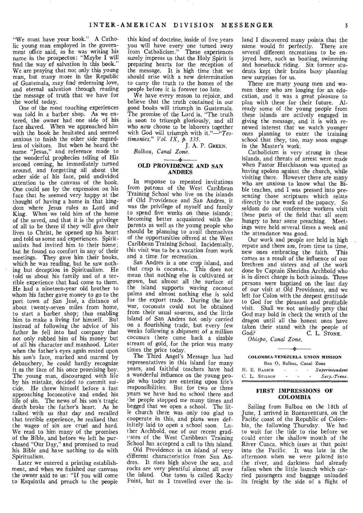"We must have your book." A Catholic young man employed in the government office said, as he was writing his name in the prospectus: "Maybe I will find the way of salvation in this book." We are praying that not only this young man, but many more in the Republic of Guatemala, may find redeeming love, and eternal salvation through reading the message of truth that we have for the world today.

One of the most touching experiences was told in a barber shop. As we entered, the owner had one side of his face shaved. When we approached him with the book he hesitated and seemed anxious to finish the other side regardless of visitors. But when he heard the name "Jesus," and reference made to the wonderful prophecies telling of His second coming, he immediately turned around, and forgetting all about the other side of his face, paid undivided attention to the canvass of the book. One could see by the expression on his face that he seemed very happy at the thought of having a home in that kingdom where Jesus rules as Lord and King. When we told him of the home of the saved, and that it is the privilege of all to be there if they will give their lives to Christ, he opened up his heart and told us some sad experiences. Spiritualists had invited him to their home; but he found no comfort in any of their meetings. They gave him their books, which he was reading, but he saw nothing but deception in Spiritualism. He told us about his family and of a terrible experience that had come to them. He had a nineteen-year old brother to whom his father gave money to go to the port town of San Jose, a distance of about twenty-seven miles from home, to start a barber shop; thus enabling him to make a living for himself. But instead of following the advice of his father he fell into bad company that not only robbed him of his money but of all his character and manhood. Later when the father's eyes again rested upon his son's face, marked and marred by debauchery, he could hardly recognize it as the face of his once promising boy. The young man, discouraged with life by his mistake, decided to commit suicide. He threw himself before a fast approaching locomotive and ended his life of sin. The news of his son's tragic death broke the father's heart. As he talked with us that day and recalled that terrible experience, he realized that the wages of sin are cruel and hard. We read to him many of the promises of the Bible, and before we left he purchased "Our Day," and promised to read his Bible and have nothing to do with Spiritualism.

Later we entered a printing establishment, and when we finished our canvass the owner said to us: "If you will come to Esquintla and preach to the people

this kind of doctrine, inside of five years you will have every one turned away from Catholicism." These experiences surely impress us that the Holy Spirit is preparing hearts for the reception of the message. It is high time that we should arise with a new determination to carry the truth to the homes of the people before it is forever too late.

We have every reason to rejoice, and believe that the truth contained in our good books will triumph in Guatemala. The promise of the Lord is, "The truth is soon to triumph gloriously, and all who now choose to be laborers together with God will triumph with *it."—"Testimonies," Vol. IX,* p. *135.* 

I. A. P. GREEN.

*Balboa, Canal Zone.* 

#### OLD PROVIDENCE AND SAN ANDRES

In response to repeated invitations from patrons of the West Caribbean Training School who live on the islands of Old Providence and San Andres, it was the privilege of myself and family to spend five weeks on these islands; becoming better acquainted with the parents as well as the young people who should be planning to avail themselves of the opportunities offered at the West Caribbean Training School. Incidentally, this visit was to be a vacation from work and a time for recreation.

San Andres is a one crop island, and that crop is coconuts. This does not mean that nothing else is cultivated or grown, but almost all the surface of the island supports waving coconut palms and almost nothing else is sold for the export trade. During the late war, coconuts could not be obtained from their usual sources, and the little island of San Andres not only carried on a flourishing trade, but every few weeks following a shipment of a million coconuts there came back a sizable stream of gold, for the price was many times the price today.

The Third Angel's Message has had representatives in this island for many years, and faithful teachers have had a wonderful influence on the young people who today are entering upon life's responsibilities. But for two or three years we have had no school there and the people stopped me many times and begged that we open a school. The litle church there was only too glad to cooperate in this, and plans were definitely laid to open a school soon. Luther Archbold, one of our recent gradates of the West Caribbean Training School has accepted a call to this island.

Old Providence is an island of very different characteristics from San Andres. It rises high above the sea, and rocks are very plentiful almost all over the island. One town is called Rocky Point, but as I travelled over the island I discovered many points that the name would fit perfectly. There are several different recreations to be enjoyed here, such as boating, swimming and horseback riding. Six former students kept their brains busy planning new surprises for us.

There are many young men and women there who are longing for an education, and it was a great pleasure to plan with these for their future. Already some of the young people from these islands are actively engaged in giving the message, and it is with renewed interest that we watch younger ones planning to enter the training school that they, too, may soon engage in the Master's work.

Catholicism is very strong in these islands, and threats of arrest were made when Pastor Hutchinson was quoted as having spoken against the church, while visiting there. However there are many who are anxious to know what the Bible teaches, and I was pressed into presenting those scriptures which relate directly to the work of the papacy. So seldom do our conference workers visit these parts of the field that all seem hungry to hear some preaching. Meetings were held several times a week and the attendance was good.

Our work and people are held in high repute and there are, from time to time. new ones embracing the faith. This comes as a result of the influence of our brethren and sisters and of the work done by Captain Sheridan Archbold who is in direct charge in both islands. Three persons were baptized on the last day of our visit at Old Providence, and we left for Colon with the deepest gratitude to God for the pleasant and profitable visit. Shall we not unitedly pray that God may hold in check the wrath of the dragon until all the honest ones have taken their stand with the people of God? C. L. STONE.

*Obispo, Canal Zone.* 

#### COLOMBIA-VENEZUELA UNION MISSION  $Box \cap$  Balboa, Canal Zone

|  | Dox O, Danga, Calial Zone |                |   |               |
|--|---------------------------|----------------|---|---------------|
|  | H. E. BAASCH              | ٠              | ۰ | Supermtendent |
|  | C. L. STILSON             | $\blacksquare$ | ۰ | Secy. Treas.  |
|  |                           |                |   |               |

#### FIRST IMPRESSIONS OF COLOMBIA

Sailing from Balboa on the 18th of June, I arrived in Buenaventura, on the Pacific coast of the Republic of Colombia, the following Thursday. We had to wait for the tide to rise before we could enter the shallow mouth of the River Cuaca, which isues at that point into the Pacific. It was late in the afternoon when we were piloted into the river, and darkness had already fallen when the little launch which carried passengers and baggage unloaded its freight by the side of a flight of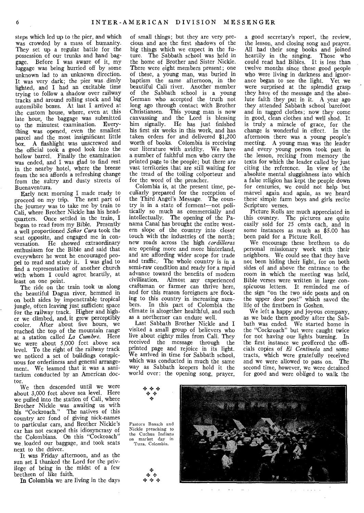steps which led up to the pier, and which was crowded by a mass of humanity. They set up a regular battle for the possession of our trunks and hand baggage. Before I was aware of it, my luggage was being hurried off by some unknown lad to an unknown direction. It was very dark; the pier was dimly lighted, and I had an excitable time trying to follow a shadow over railway tracks and around rolling stock and big automibile boxes. At last I arrived at the custom house, where, even at this late hour, the baggage was submitted to the minutest examination. Everything was opened, even the smallest parcel and the most insignificant little box. A flashlight was unscrewed and the official took a good look into the hollow barrel. Finally the examination was ended, and I was glad to find rest in the nearby hotel, where the breeze from the sea affords a refreshing change from the sultry and dusty streets of Buenaventura.

Early next morning I made ready to proceed on my trip. The next part of the journey was to take me by train to Cali, where Brother Nickle has his headquarters. Once settled in the train, I began to read from my Bible. Presently a well proportioned *Senor Cura* took the seat opposite, and engaged me in conversation. He showed extraordinary enthusiasm for the Bible and said that everywhere he went he encouraged peopel to read and study it. I was glad to find a representative of another church with whom I could agree heartily, at least on one point.

The ride on the train took us along the beautiful Dagua river, hemmed in on both sides by impenetrable tropical jungle, often leaving just sufficient space for the railway track. Higher and higher we climbed, and it grew perceptibly<br>cooler. After about five hours, we After about five hours, we reached the top of the mountain range at a station called *La Cumbre.* Here we were about 5,000 feet above sea level. To the right of the railway track we noticed a set of buildings conspicuous for orderliness and general arrangement, We learned that it was a sanitarium conducted by an American doctor.

We then descended until we were about 3,000 feet above sea level. Here we pulled into the station of Cali, where Brother Nickle was awaiting us with his "Cockroach." The natives of this country are fond of giving nick-names to particular cars, and Brother Nickle's car has not escaped this idiosyncrasy of the Colombians. On this "Cockroach" we loaded our baggage, and took seats next to the driver.

It was Friday afternoon, and as the sun set I thanked the Lord for the privilege of being in the midst of a few brethren of like faith.

In Colombia we are living in the days

of small things; but they are very precious and are the first shadows of the big things which we expect in the future. The Sabbath school was held in the home of Brother and Sister Nickle. There were eight members present; one of these, a young man, was buried in baptism the same afternoon, in the beautiful Cali river. Another member of the Sabbath school is a young German who accepted the truth not long ago through contact with Brother Christiansen. This young man is now canvassing and the Lord is blessing him signally. He has just finished his first six weeks in this work, and has taken orders for and delivered \$1,200 worth of books. Colombia is receiving our literature with avidity. We have a number of faithful men who carry the printed page to the people; but there are vast territories that are still waiting for the tread of the toiling colporteur and for the word of the preacher.

Colombia is, at the present time, peculiarly prepared for the reception of the Third Angel's Message. The country is in a state of ferment—not politically so much as commercially and intellectually. The opening of the Panama Canal has brought the entire western slope of the country into closer touch with the industries of the north; new roads across the high *cordilleras*  are opening more and more hinterland, and are affording wider scope for trade and traffic. The whole country is in a semi-raw condition and ready for a rapid advance toward the benefits of modern civilization. Almost any experienced craftsman or farmer can thrive here, and for this reason foreigners are flocking to this country in increasing numbers. In this part of Colombia the climate is altogether healthful, and such as a northerner can endure well.

Last Sabbath Brother Nickle and I visited a small group of believers who live about eighty miles from Cali. They received the message through the printed page and rejoice in its light. We arrived in time for Sabbath school, which was conducted in much the same way as Sabbath keepers hold it the world over: the opening song, prayer,

a good secretary's report, the review, the lesson, and closing song and prayer. All had their song books and joined heartily in the singing. Those who could read had Bibles. It is less than twelve months since these good people who were living in darkness and ignorance began to see the light. Yet we were surprised at the splendid grasp they have of the message and the absolute faith they put in it. A year ago they attended Sabbath school barefoot and in ragged clothes; now they come in good, clean clothes and well shod. It is truly a miracle of grace, for the change is wonderful in effect. In the afternoon there was a young people's meeting. A young man was the leader and every young person took part in the lesson, reciting from memory the texts for which the leader called by just citing the reference. In view of the absolute mental sluggishness into which a false religion has kept the people down for centuries, we could not help but marvel again and again, as we heard these simple farm boys and girls recite Scripture verses.

Picture Rolls are much appreciated in this country. The pictures are quite easily sold for 25 cents each, and in some instances as much as \$5.00 has been paid for a Picture Roll.

We encourage these brethren to do personal missionary work with their neighbors. We could see that they have not been hiding their light, for on both sides of and above the entrance to the room in which the meeting was held, Bible verses were written in large conspicuous letters. It reminded me of the sign "on the two side posts and on the upper door post" which saved the life of the firstborn in Goshen.

We left a happy and joyous company, as we bade them goodby after the Sabbath was ended. We started home in the "Cockroach" but were caught twice for not having our lights burning. In the first instance we proffered the officials copies of *El Centinela* and some tracts, which were gratefully received and we were allowed to pass on. The second time, however, we were detained for good and were obliged to walk the



o.



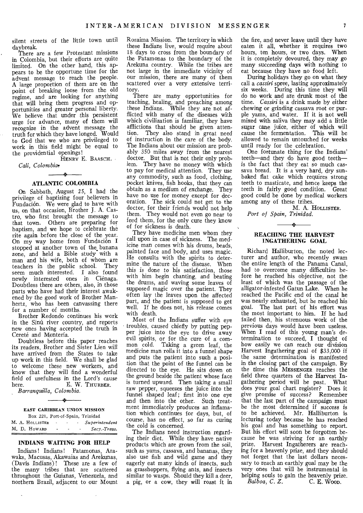silent streets of the little town until daybreak.

There are a few Protestant missions in Colombia, but their efforts are quite limited. On the other hand, this appears to be the opportune time for the advent message to reach the people. A large proportion of them are on the point of breaking loose from the old regime, and are looking for anything that will bring them progress and opportunities and greater personal liberty. We believe that under this persistent urge for advance, many of them will recognize in the advent message the truth for which they have longed. Would to God that we who are privileged to work in this field might be equal to the providential openings!

HENRY E. BAASCH.

Cali, Colombia:

#### $\rightarrow$ **ATLANTIC COLOMBIA**

On Sabbath, August 25, I had the privilege of baptizing four believers in Fundación. We were glad to have with us, on that occasion, Brother J. A. Castro, who first brought the message to that town. Others are preparing for baptism, and we hope to celebrate the rite again before the close of the year. On my way home from Fundación I stopped at another town of the. banana zone, and held a Bible study with a man and his wife, both of whom are teachers in the public school. They seem much interested. I also found newly interested ones in Cienaga. Doubtless there are others, also, in those parts who have had their interest awakened by the good work of Brother Manhertz, who has been canvassing there for a number of months.

Brother Redondo continues his work in the Sinú river country, and reports new ones having accepted the truth in Cereté and Montería.

Doubtless before this paper reaches its readers, Brother and Sister Lien will have arrived from the States to take up work in this field. We shall be glad to welcome these new workers, and know that they will find a wonderful field of usefulness in the Lord's cause<br>here. E. W. THURBER. E. W. THURBER. *Barranquilla, Colombia.* 

#### - 24 EAST CARIBBEAN UNION MISSION

|  |                 |        |                   | Box 221, Port-of-Spain, Trinidad |
|--|-----------------|--------|-------------------|----------------------------------|
|  | M. A. HOLLISTER | $\sim$ | $\sim$ 100 $\sim$ | Superintendent                   |
|  | M.D. Howard     | ٠      |                   | Secy.-Treas.                     |

#### **INDIANS WAITING FOR HELP**

Indians! Indians! Patamonas, Arawaks, Macusas, Akawaias and Arekunas, (Davis Indians)! These are a few of the many tribes that are scattered throughout the Guianas, Venezuela, and northern Brazil, adjacent to our Mount

 $\ddot{\phantom{a}}$ 

Roraima Mission. The territory in which these Indians live, would require about 18 days to cross from the boundary of the Patamonas to the boundary of the Arekuna country. While the tribes are not large in the immediate vicinity of our mission, there are many of them scattered over a very extensive territory.

There are many opportunities for teaching, healing, and preaching among these Indians. While they are not afflicted with many of the diseases with which civilization is familiar, they have afflictions that should be given attention. They also stand in great need of instruction in the care of the body. The Indians about our mission are probably 350 miles away from the nearest doctor. But that is not their only problem. They have no money with which to pay for medical attention. They use any commodity, such as food, clothing, pocket knives, fish hooks, that they can obtain as a medium of exchange. They have no use for money except for decoration. The sick could not get to the doctor, for their friends would not help them. They would not even go near to feed them, for the only cure they know of for sickness is death.

They have medicine men whom they call upon in case of sickness. The medicine man comes with his drums, beads, painted face and body, and uses magic. He consults with the spirits to determine the nature of the disease. When this is done to his satisfaction, those with him begin chanting, and beating the drums, and waving some leaves of supposed magic over the patient. They often lay the leaves upon the affected part, and the patient is supposed to get well. If he does not, his release comes with death.

Most of the Indians suffer with eye troubles, caused chiefly by putting pepper juice into the eye to drive away evil spirits, or for the cure of a common cold. Taking a green leaf, the medicine man rolls it into a funnel shape and puts the patient into such a position that the point of the funnel can be directed to the eye. He sits down on the ground beside the patient whose face is turned upward. Then taking a small raw pepper, squeezes the juice into the funnel shaped leaf; first into one eye and then into the other. Such treatment immediately produces an inflamation which continues for days, but, of course, has no effect, so far as curing the cold is concerned.

The Indians need instruction regarding their diet. While they have native products which are grown from the soil, such as yams, cassava, and bananas, they also use fish and wild game and they eagerly eat many kinds of insects, such as grasshoppers, flying ants, and insects similar to wasps. Should they kill a deer, a pig, or a cow, they will roast it in

the fire, and never leave until they have eaten it all, whether it requires two hours, ten hours, or two days. When it is completely devoured, they may go many succeeding days with nothing to eat because they have no food left.

During holidays they go on what they call a *cassiri* spree, lasting approximately six weeks. During this time they will do no work and are drunk most of the time. *Cassiri* is a drink made by either chewing or grinding cassava root or purple yams, and water. If it is not well mixed with saliva they may add a little sugar cane juice, either of which will cause the fermentation. This will be allowed to remain untouched for weeks until ready for the celebration.

One fortunate thing for the Indians' teeth—and they do have good teeth is the fact that they eat so much cassava bread. It is a very hard, dry sunbaked flat cake which requires strong teeth to masticate, and hence keeps the teeth in fairly good condition. Great good could be done by medical workers among any of these tribes.

M. A. HOLLISTER. *Port of Spain, Trinidad.* 

#### **REACHING THE HARVEST INGATHERING GOAL**

Richard Halliburton, the noted lecturer and author, who recently swam the entire length of the Panama Canal, had to overcome many difficulties before he reached his objective, not the least of which was the passage of the alligator-infested Gatun Lake. When he reached the Pacific end of the canal he was nearly exhausted, but he reached his goal. The last part of his effort was the most important to him. If he had failed then, his strenuous work of the previous days would have been useless. When I read of this young man's determination to succeed, I thought of how easily we can reach our division Harvest Ingathering goal of \$33,000 if the same determination is manifested in the closing part of the campaign. By the time this MESSENGER reaches the field three quarters of the Harvest Ingathering period will be past. What does your goal chart register? Does it give promise of success? Remember that the last part of the campaign must be the most determined if success is to be achieved. Mr. Halliburton is lecturing today because he has reached his goal and has something to report. But his effort will soon be forgotten because he was striving for an earthly prize. Harvest Ingatherers are reaching for a heavenly prize, and they should not forget that the last dollars necessary to reach an earthly goal may be the very ones that will be instrumental in helping souls to gain the heavenly prize.<br>Balboa, C. Z. C. E. Woop. **C. E. Woon.**